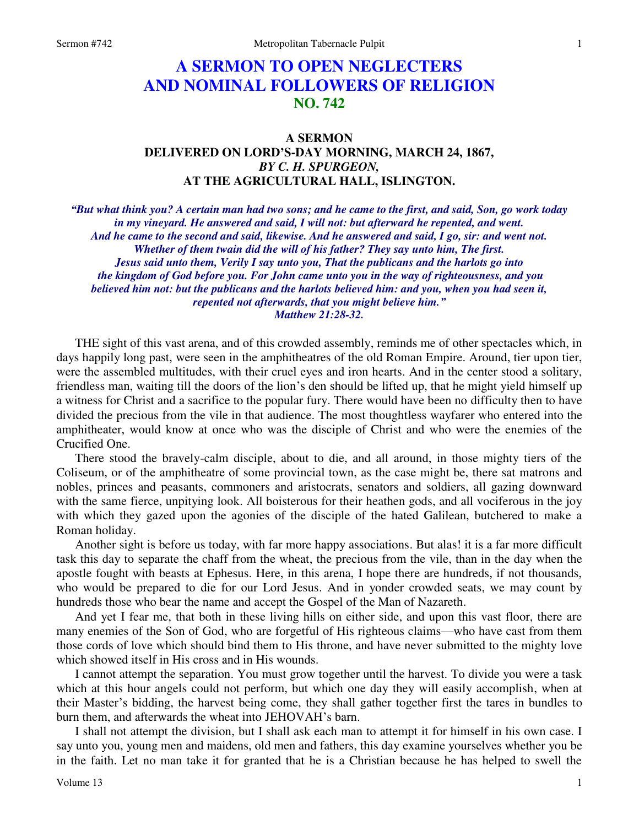## **A SERMON TO OPEN NEGLECTERS AND NOMINAL FOLLOWERS OF RELIGION NO. 742**

## **A SERMON DELIVERED ON LORD'S-DAY MORNING, MARCH 24, 1867,**  *BY C. H. SPURGEON,*

## **AT THE AGRICULTURAL HALL, ISLINGTON.**

*"But what think you? A certain man had two sons; and he came to the first, and said, Son, go work today in my vineyard. He answered and said, I will not: but afterward he repented, and went. And he came to the second and said, likewise. And he answered and said, I go, sir: and went not. Whether of them twain did the will of his father? They say unto him, The first. Jesus said unto them, Verily I say unto you, That the publicans and the harlots go into the kingdom of God before you. For John came unto you in the way of righteousness, and you believed him not: but the publicans and the harlots believed him: and you, when you had seen it, repented not afterwards, that you might believe him." Matthew 21:28-32.* 

THE sight of this vast arena, and of this crowded assembly, reminds me of other spectacles which, in days happily long past, were seen in the amphitheatres of the old Roman Empire. Around, tier upon tier, were the assembled multitudes, with their cruel eyes and iron hearts. And in the center stood a solitary, friendless man, waiting till the doors of the lion's den should be lifted up, that he might yield himself up a witness for Christ and a sacrifice to the popular fury. There would have been no difficulty then to have divided the precious from the vile in that audience. The most thoughtless wayfarer who entered into the amphitheater, would know at once who was the disciple of Christ and who were the enemies of the Crucified One.

 There stood the bravely-calm disciple, about to die, and all around, in those mighty tiers of the Coliseum, or of the amphitheatre of some provincial town, as the case might be, there sat matrons and nobles, princes and peasants, commoners and aristocrats, senators and soldiers, all gazing downward with the same fierce, unpitying look. All boisterous for their heathen gods, and all vociferous in the joy with which they gazed upon the agonies of the disciple of the hated Galilean, butchered to make a Roman holiday.

 Another sight is before us today, with far more happy associations. But alas! it is a far more difficult task this day to separate the chaff from the wheat, the precious from the vile, than in the day when the apostle fought with beasts at Ephesus. Here, in this arena, I hope there are hundreds, if not thousands, who would be prepared to die for our Lord Jesus. And in yonder crowded seats, we may count by hundreds those who bear the name and accept the Gospel of the Man of Nazareth.

 And yet I fear me, that both in these living hills on either side, and upon this vast floor, there are many enemies of the Son of God, who are forgetful of His righteous claims—who have cast from them those cords of love which should bind them to His throne, and have never submitted to the mighty love which showed itself in His cross and in His wounds.

 I cannot attempt the separation. You must grow together until the harvest. To divide you were a task which at this hour angels could not perform, but which one day they will easily accomplish, when at their Master's bidding, the harvest being come, they shall gather together first the tares in bundles to burn them, and afterwards the wheat into JEHOVAH's barn.

 I shall not attempt the division, but I shall ask each man to attempt it for himself in his own case. I say unto you, young men and maidens, old men and fathers, this day examine yourselves whether you be in the faith. Let no man take it for granted that he is a Christian because he has helped to swell the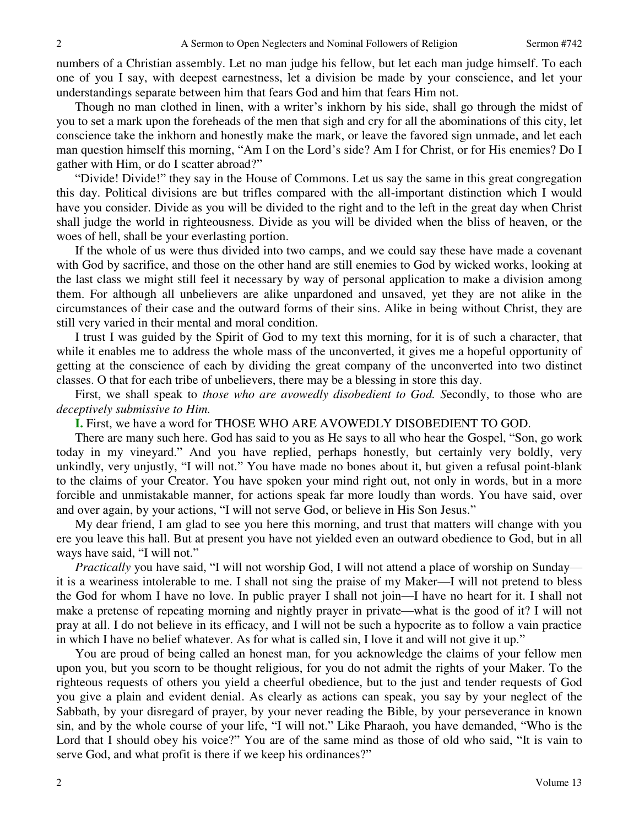numbers of a Christian assembly. Let no man judge his fellow, but let each man judge himself. To each one of you I say, with deepest earnestness, let a division be made by your conscience, and let your understandings separate between him that fears God and him that fears Him not.

 Though no man clothed in linen, with a writer's inkhorn by his side, shall go through the midst of you to set a mark upon the foreheads of the men that sigh and cry for all the abominations of this city, let conscience take the inkhorn and honestly make the mark, or leave the favored sign unmade, and let each man question himself this morning, "Am I on the Lord's side? Am I for Christ, or for His enemies? Do I gather with Him, or do I scatter abroad?"

"Divide! Divide!" they say in the House of Commons. Let us say the same in this great congregation this day. Political divisions are but trifles compared with the all-important distinction which I would have you consider. Divide as you will be divided to the right and to the left in the great day when Christ shall judge the world in righteousness. Divide as you will be divided when the bliss of heaven, or the woes of hell, shall be your everlasting portion.

 If the whole of us were thus divided into two camps, and we could say these have made a covenant with God by sacrifice, and those on the other hand are still enemies to God by wicked works, looking at the last class we might still feel it necessary by way of personal application to make a division among them. For although all unbelievers are alike unpardoned and unsaved, yet they are not alike in the circumstances of their case and the outward forms of their sins. Alike in being without Christ, they are still very varied in their mental and moral condition.

 I trust I was guided by the Spirit of God to my text this morning, for it is of such a character, that while it enables me to address the whole mass of the unconverted, it gives me a hopeful opportunity of getting at the conscience of each by dividing the great company of the unconverted into two distinct classes. O that for each tribe of unbelievers, there may be a blessing in store this day.

 First, we shall speak to *those who are avowedly disobedient to God. S*econdly, to those who are *deceptively submissive to Him.*

**I.** First, we have a word for THOSE WHO ARE AVOWEDLY DISOBEDIENT TO GOD.

 There are many such here. God has said to you as He says to all who hear the Gospel, "Son, go work today in my vineyard." And you have replied, perhaps honestly, but certainly very boldly, very unkindly, very unjustly, "I will not." You have made no bones about it, but given a refusal point-blank to the claims of your Creator. You have spoken your mind right out, not only in words, but in a more forcible and unmistakable manner, for actions speak far more loudly than words. You have said, over and over again, by your actions, "I will not serve God, or believe in His Son Jesus."

My dear friend, I am glad to see you here this morning, and trust that matters will change with you ere you leave this hall. But at present you have not yielded even an outward obedience to God, but in all ways have said, "I will not."

 *Practically* you have said, "I will not worship God, I will not attend a place of worship on Sunday it is a weariness intolerable to me. I shall not sing the praise of my Maker—I will not pretend to bless the God for whom I have no love. In public prayer I shall not join—I have no heart for it. I shall not make a pretense of repeating morning and nightly prayer in private—what is the good of it? I will not pray at all. I do not believe in its efficacy, and I will not be such a hypocrite as to follow a vain practice in which I have no belief whatever. As for what is called sin, I love it and will not give it up."

 You are proud of being called an honest man, for you acknowledge the claims of your fellow men upon you, but you scorn to be thought religious, for you do not admit the rights of your Maker. To the righteous requests of others you yield a cheerful obedience, but to the just and tender requests of God you give a plain and evident denial. As clearly as actions can speak, you say by your neglect of the Sabbath, by your disregard of prayer, by your never reading the Bible, by your perseverance in known sin, and by the whole course of your life, "I will not." Like Pharaoh, you have demanded, "Who is the Lord that I should obey his voice?" You are of the same mind as those of old who said, "It is vain to serve God, and what profit is there if we keep his ordinances?"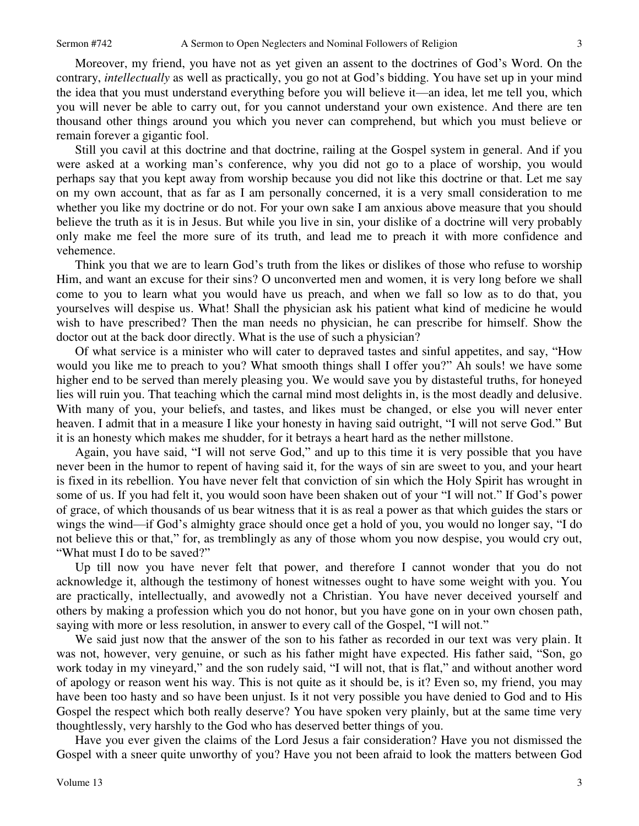Moreover, my friend, you have not as yet given an assent to the doctrines of God's Word. On the contrary, *intellectually* as well as practically, you go not at God's bidding. You have set up in your mind the idea that you must understand everything before you will believe it—an idea, let me tell you, which you will never be able to carry out, for you cannot understand your own existence. And there are ten thousand other things around you which you never can comprehend, but which you must believe or remain forever a gigantic fool.

 Still you cavil at this doctrine and that doctrine, railing at the Gospel system in general. And if you were asked at a working man's conference, why you did not go to a place of worship, you would perhaps say that you kept away from worship because you did not like this doctrine or that. Let me say on my own account, that as far as I am personally concerned, it is a very small consideration to me whether you like my doctrine or do not. For your own sake I am anxious above measure that you should believe the truth as it is in Jesus. But while you live in sin, your dislike of a doctrine will very probably only make me feel the more sure of its truth, and lead me to preach it with more confidence and vehemence.

 Think you that we are to learn God's truth from the likes or dislikes of those who refuse to worship Him, and want an excuse for their sins? O unconverted men and women, it is very long before we shall come to you to learn what you would have us preach, and when we fall so low as to do that, you yourselves will despise us. What! Shall the physician ask his patient what kind of medicine he would wish to have prescribed? Then the man needs no physician, he can prescribe for himself. Show the doctor out at the back door directly. What is the use of such a physician?

 Of what service is a minister who will cater to depraved tastes and sinful appetites, and say, "How would you like me to preach to you? What smooth things shall I offer you?" Ah souls! we have some higher end to be served than merely pleasing you. We would save you by distasteful truths, for honeyed lies will ruin you. That teaching which the carnal mind most delights in, is the most deadly and delusive. With many of you, your beliefs, and tastes, and likes must be changed, or else you will never enter heaven. I admit that in a measure I like your honesty in having said outright, "I will not serve God." But it is an honesty which makes me shudder, for it betrays a heart hard as the nether millstone.

 Again, you have said, "I will not serve God," and up to this time it is very possible that you have never been in the humor to repent of having said it, for the ways of sin are sweet to you, and your heart is fixed in its rebellion. You have never felt that conviction of sin which the Holy Spirit has wrought in some of us. If you had felt it, you would soon have been shaken out of your "I will not." If God's power of grace, of which thousands of us bear witness that it is as real a power as that which guides the stars or wings the wind—if God's almighty grace should once get a hold of you, you would no longer say, "I do not believe this or that," for, as tremblingly as any of those whom you now despise, you would cry out, "What must I do to be saved?"

 Up till now you have never felt that power, and therefore I cannot wonder that you do not acknowledge it, although the testimony of honest witnesses ought to have some weight with you. You are practically, intellectually, and avowedly not a Christian. You have never deceived yourself and others by making a profession which you do not honor, but you have gone on in your own chosen path, saying with more or less resolution, in answer to every call of the Gospel, "I will not."

We said just now that the answer of the son to his father as recorded in our text was very plain. It was not, however, very genuine, or such as his father might have expected. His father said, "Son, go work today in my vineyard," and the son rudely said, "I will not, that is flat," and without another word of apology or reason went his way. This is not quite as it should be, is it? Even so, my friend, you may have been too hasty and so have been unjust. Is it not very possible you have denied to God and to His Gospel the respect which both really deserve? You have spoken very plainly, but at the same time very thoughtlessly, very harshly to the God who has deserved better things of you.

 Have you ever given the claims of the Lord Jesus a fair consideration? Have you not dismissed the Gospel with a sneer quite unworthy of you? Have you not been afraid to look the matters between God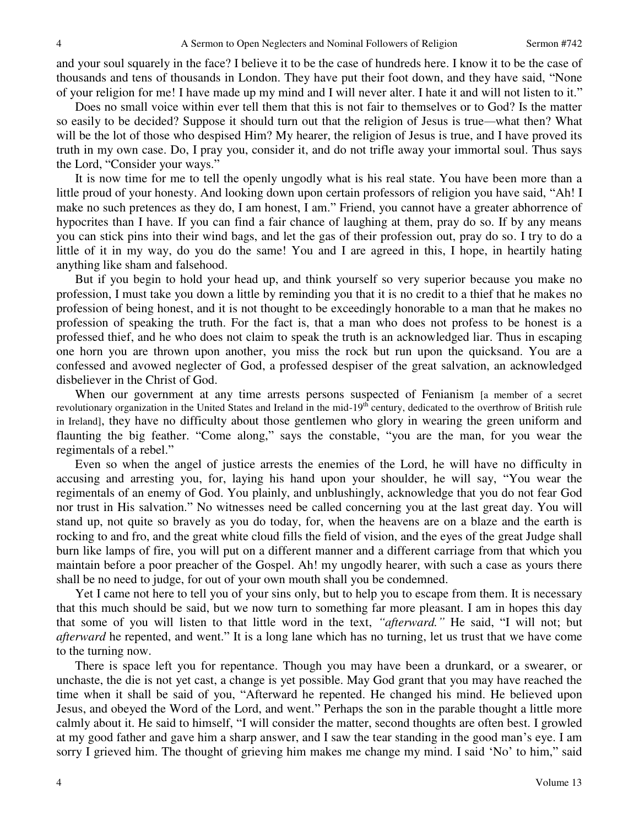and your soul squarely in the face? I believe it to be the case of hundreds here. I know it to be the case of thousands and tens of thousands in London. They have put their foot down, and they have said, "None of your religion for me! I have made up my mind and I will never alter. I hate it and will not listen to it."

 Does no small voice within ever tell them that this is not fair to themselves or to God? Is the matter so easily to be decided? Suppose it should turn out that the religion of Jesus is true*—*what then? What will be the lot of those who despised Him? My hearer, the religion of Jesus is true, and I have proved its truth in my own case. Do, I pray you, consider it, and do not trifle away your immortal soul. Thus says the Lord, "Consider your ways."

 It is now time for me to tell the openly ungodly what is his real state. You have been more than a little proud of your honesty. And looking down upon certain professors of religion you have said, "Ah! I make no such pretences as they do, I am honest, I am." Friend, you cannot have a greater abhorrence of hypocrites than I have. If you can find a fair chance of laughing at them, pray do so. If by any means you can stick pins into their wind bags, and let the gas of their profession out, pray do so. I try to do a little of it in my way, do you do the same! You and I are agreed in this, I hope, in heartily hating anything like sham and falsehood.

 But if you begin to hold your head up, and think yourself so very superior because you make no profession, I must take you down a little by reminding you that it is no credit to a thief that he makes no profession of being honest, and it is not thought to be exceedingly honorable to a man that he makes no profession of speaking the truth. For the fact is, that a man who does not profess to be honest is a professed thief, and he who does not claim to speak the truth is an acknowledged liar. Thus in escaping one horn you are thrown upon another, you miss the rock but run upon the quicksand. You are a confessed and avowed neglecter of God, a professed despiser of the great salvation, an acknowledged disbeliever in the Christ of God.

 When our government at any time arrests persons suspected of Fenianism [a member of a secret revolutionary organization in the United States and Ireland in the mid-19<sup>th</sup> century, dedicated to the overthrow of British rule in Ireland], they have no difficulty about those gentlemen who glory in wearing the green uniform and flaunting the big feather. "Come along," says the constable, "you are the man, for you wear the regimentals of a rebel."

 Even so when the angel of justice arrests the enemies of the Lord, he will have no difficulty in accusing and arresting you, for, laying his hand upon your shoulder, he will say, "You wear the regimentals of an enemy of God. You plainly, and unblushingly, acknowledge that you do not fear God nor trust in His salvation." No witnesses need be called concerning you at the last great day. You will stand up, not quite so bravely as you do today, for, when the heavens are on a blaze and the earth is rocking to and fro, and the great white cloud fills the field of vision, and the eyes of the great Judge shall burn like lamps of fire, you will put on a different manner and a different carriage from that which you maintain before a poor preacher of the Gospel. Ah! my ungodly hearer, with such a case as yours there shall be no need to judge, for out of your own mouth shall you be condemned.

 Yet I came not here to tell you of your sins only, but to help you to escape from them. It is necessary that this much should be said, but we now turn to something far more pleasant. I am in hopes this day that some of you will listen to that little word in the text, *"afterward."* He said, "I will not; but *afterward* he repented, and went." It is a long lane which has no turning, let us trust that we have come to the turning now.

 There is space left you for repentance. Though you may have been a drunkard, or a swearer, or unchaste, the die is not yet cast, a change is yet possible. May God grant that you may have reached the time when it shall be said of you, "Afterward he repented. He changed his mind. He believed upon Jesus, and obeyed the Word of the Lord, and went." Perhaps the son in the parable thought a little more calmly about it. He said to himself, "I will consider the matter, second thoughts are often best. I growled at my good father and gave him a sharp answer, and I saw the tear standing in the good man's eye. I am sorry I grieved him. The thought of grieving him makes me change my mind. I said 'No' to him," said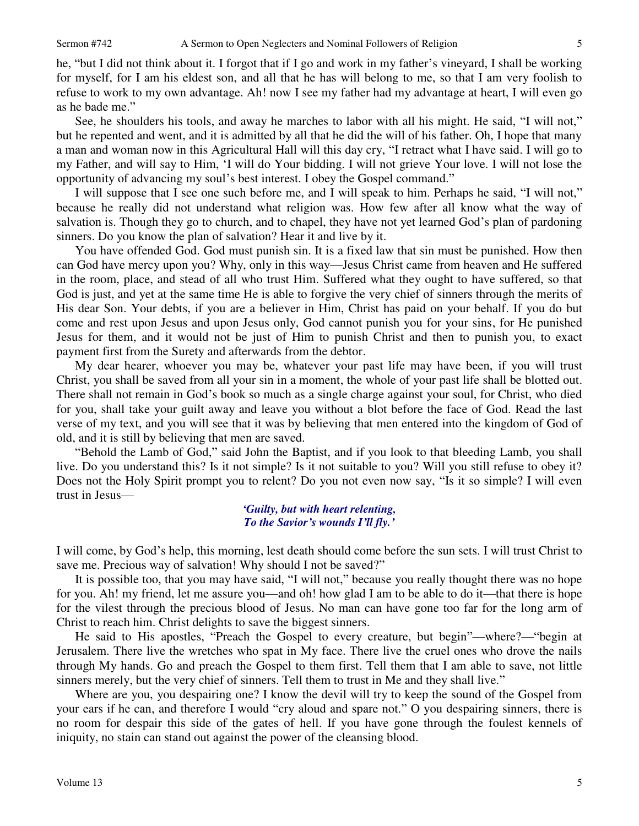he, "but I did not think about it. I forgot that if I go and work in my father's vineyard, I shall be working for myself, for I am his eldest son, and all that he has will belong to me, so that I am very foolish to refuse to work to my own advantage. Ah! now I see my father had my advantage at heart, I will even go as he bade me."

 See, he shoulders his tools, and away he marches to labor with all his might. He said, "I will not," but he repented and went, and it is admitted by all that he did the will of his father. Oh, I hope that many a man and woman now in this Agricultural Hall will this day cry, "I retract what I have said. I will go to my Father, and will say to Him, 'I will do Your bidding. I will not grieve Your love. I will not lose the opportunity of advancing my soul's best interest. I obey the Gospel command."

 I will suppose that I see one such before me, and I will speak to him. Perhaps he said, "I will not," because he really did not understand what religion was. How few after all know what the way of salvation is. Though they go to church, and to chapel, they have not yet learned God's plan of pardoning sinners. Do you know the plan of salvation? Hear it and live by it.

 You have offended God. God must punish sin. It is a fixed law that sin must be punished. How then can God have mercy upon you? Why, only in this way—Jesus Christ came from heaven and He suffered in the room, place, and stead of all who trust Him. Suffered what they ought to have suffered, so that God is just, and yet at the same time He is able to forgive the very chief of sinners through the merits of His dear Son. Your debts, if you are a believer in Him, Christ has paid on your behalf. If you do but come and rest upon Jesus and upon Jesus only, God cannot punish you for your sins, for He punished Jesus for them, and it would not be just of Him to punish Christ and then to punish you, to exact payment first from the Surety and afterwards from the debtor.

 My dear hearer, whoever you may be, whatever your past life may have been, if you will trust Christ, you shall be saved from all your sin in a moment, the whole of your past life shall be blotted out. There shall not remain in God's book so much as a single charge against your soul, for Christ, who died for you, shall take your guilt away and leave you without a blot before the face of God. Read the last verse of my text, and you will see that it was by believing that men entered into the kingdom of God of old, and it is still by believing that men are saved.

"Behold the Lamb of God," said John the Baptist, and if you look to that bleeding Lamb, you shall live. Do you understand this? Is it not simple? Is it not suitable to you? Will you still refuse to obey it? Does not the Holy Spirit prompt you to relent? Do you not even now say, "Is it so simple? I will even trust in Jesus—

> *'Guilty, but with heart relenting, To the Savior's wounds I'll fly.'*

I will come, by God's help, this morning, lest death should come before the sun sets. I will trust Christ to save me. Precious way of salvation! Why should I not be saved?"

 It is possible too, that you may have said, "I will not," because you really thought there was no hope for you. Ah! my friend, let me assure you—and oh! how glad I am to be able to do it—that there is hope for the vilest through the precious blood of Jesus. No man can have gone too far for the long arm of Christ to reach him. Christ delights to save the biggest sinners.

 He said to His apostles, "Preach the Gospel to every creature, but begin"—where?—"begin at Jerusalem. There live the wretches who spat in My face. There live the cruel ones who drove the nails through My hands. Go and preach the Gospel to them first. Tell them that I am able to save, not little sinners merely, but the very chief of sinners. Tell them to trust in Me and they shall live."

 Where are you, you despairing one? I know the devil will try to keep the sound of the Gospel from your ears if he can, and therefore I would "cry aloud and spare not." O you despairing sinners, there is no room for despair this side of the gates of hell. If you have gone through the foulest kennels of iniquity, no stain can stand out against the power of the cleansing blood.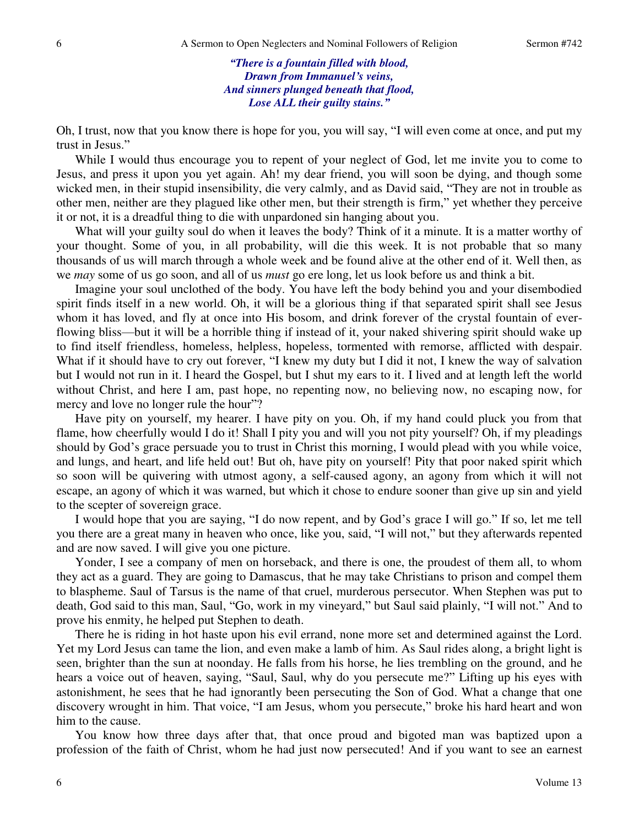*"There is a fountain filled with blood, Drawn from Immanuel's veins, And sinners plunged beneath that flood, Lose ALL their guilty stains."*

Oh, I trust, now that you know there is hope for you, you will say, "I will even come at once, and put my trust in Jesus."

 While I would thus encourage you to repent of your neglect of God, let me invite you to come to Jesus, and press it upon you yet again. Ah! my dear friend, you will soon be dying, and though some wicked men, in their stupid insensibility, die very calmly, and as David said, "They are not in trouble as other men, neither are they plagued like other men, but their strength is firm," yet whether they perceive it or not, it is a dreadful thing to die with unpardoned sin hanging about you.

 What will your guilty soul do when it leaves the body? Think of it a minute. It is a matter worthy of your thought. Some of you, in all probability, will die this week. It is not probable that so many thousands of us will march through a whole week and be found alive at the other end of it. Well then, as we *may* some of us go soon, and all of us *must* go ere long, let us look before us and think a bit.

 Imagine your soul unclothed of the body. You have left the body behind you and your disembodied spirit finds itself in a new world. Oh, it will be a glorious thing if that separated spirit shall see Jesus whom it has loved, and fly at once into His bosom, and drink forever of the crystal fountain of everflowing bliss—but it will be a horrible thing if instead of it, your naked shivering spirit should wake up to find itself friendless, homeless, helpless, hopeless, tormented with remorse, afflicted with despair. What if it should have to cry out forever, "I knew my duty but I did it not, I knew the way of salvation but I would not run in it. I heard the Gospel, but I shut my ears to it. I lived and at length left the world without Christ, and here I am, past hope, no repenting now, no believing now, no escaping now, for mercy and love no longer rule the hour"?

 Have pity on yourself, my hearer. I have pity on you. Oh, if my hand could pluck you from that flame, how cheerfully would I do it! Shall I pity you and will you not pity yourself? Oh, if my pleadings should by God's grace persuade you to trust in Christ this morning, I would plead with you while voice, and lungs, and heart, and life held out! But oh, have pity on yourself! Pity that poor naked spirit which so soon will be quivering with utmost agony, a self-caused agony, an agony from which it will not escape, an agony of which it was warned, but which it chose to endure sooner than give up sin and yield to the scepter of sovereign grace.

I would hope that you are saying, "I do now repent, and by God's grace I will go." If so, let me tell you there are a great many in heaven who once, like you, said, "I will not," but they afterwards repented and are now saved. I will give you one picture.

 Yonder, I see a company of men on horseback, and there is one, the proudest of them all, to whom they act as a guard. They are going to Damascus, that he may take Christians to prison and compel them to blaspheme. Saul of Tarsus is the name of that cruel, murderous persecutor. When Stephen was put to death, God said to this man, Saul, "Go, work in my vineyard," but Saul said plainly, "I will not." And to prove his enmity, he helped put Stephen to death.

 There he is riding in hot haste upon his evil errand, none more set and determined against the Lord. Yet my Lord Jesus can tame the lion, and even make a lamb of him. As Saul rides along, a bright light is seen, brighter than the sun at noonday. He falls from his horse, he lies trembling on the ground, and he hears a voice out of heaven, saying, "Saul, Saul, why do you persecute me?" Lifting up his eyes with astonishment, he sees that he had ignorantly been persecuting the Son of God. What a change that one discovery wrought in him. That voice, "I am Jesus, whom you persecute," broke his hard heart and won him to the cause.

 You know how three days after that, that once proud and bigoted man was baptized upon a profession of the faith of Christ, whom he had just now persecuted! And if you want to see an earnest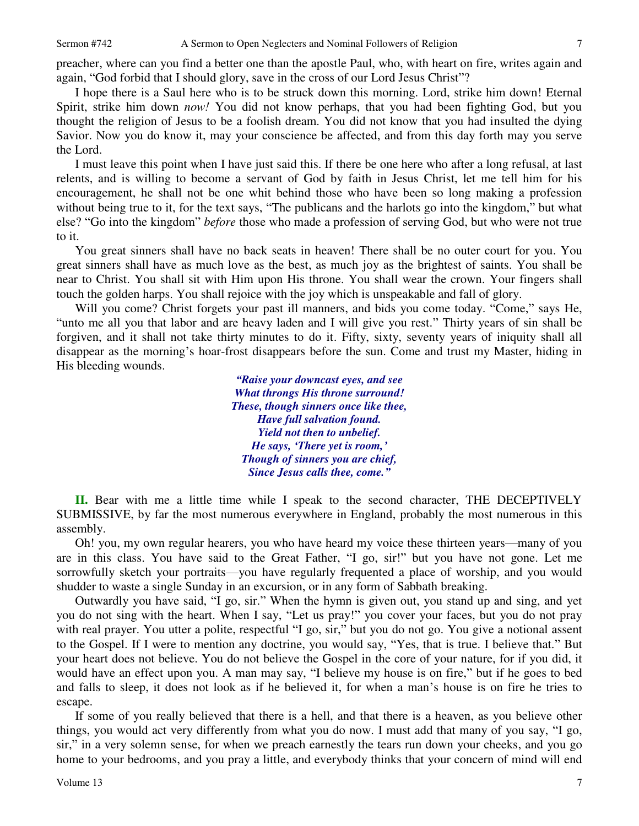preacher, where can you find a better one than the apostle Paul, who, with heart on fire, writes again and again, "God forbid that I should glory, save in the cross of our Lord Jesus Christ"?

 I hope there is a Saul here who is to be struck down this morning. Lord, strike him down! Eternal Spirit, strike him down *now!* You did not know perhaps, that you had been fighting God, but you thought the religion of Jesus to be a foolish dream. You did not know that you had insulted the dying Savior. Now you do know it, may your conscience be affected, and from this day forth may you serve the Lord.

 I must leave this point when I have just said this. If there be one here who after a long refusal, at last relents, and is willing to become a servant of God by faith in Jesus Christ, let me tell him for his encouragement, he shall not be one whit behind those who have been so long making a profession without being true to it, for the text says, "The publicans and the harlots go into the kingdom," but what else? "Go into the kingdom" *before* those who made a profession of serving God, but who were not true to it.

 You great sinners shall have no back seats in heaven! There shall be no outer court for you. You great sinners shall have as much love as the best, as much joy as the brightest of saints. You shall be near to Christ. You shall sit with Him upon His throne. You shall wear the crown. Your fingers shall touch the golden harps. You shall rejoice with the joy which is unspeakable and fall of glory.

 Will you come? Christ forgets your past ill manners, and bids you come today. "Come," says He, "unto me all you that labor and are heavy laden and I will give you rest." Thirty years of sin shall be forgiven, and it shall not take thirty minutes to do it. Fifty, sixty, seventy years of iniquity shall all disappear as the morning's hoar-frost disappears before the sun. Come and trust my Master, hiding in His bleeding wounds.

> *"Raise your downcast eyes, and see What throngs His throne surround! These, though sinners once like thee, Have full salvation found. Yield not then to unbelief. He says, 'There yet is room,' Though of sinners you are chief, Since Jesus calls thee, come."*

 **II.** Bear with me a little time while I speak to the second character, THE DECEPTIVELY SUBMISSIVE, by far the most numerous everywhere in England, probably the most numerous in this assembly.

Oh! you, my own regular hearers, you who have heard my voice these thirteen years—many of you are in this class. You have said to the Great Father, "I go, sir!" but you have not gone. Let me sorrowfully sketch your portraits—you have regularly frequented a place of worship, and you would shudder to waste a single Sunday in an excursion, or in any form of Sabbath breaking.

Outwardly you have said, "I go, sir." When the hymn is given out, you stand up and sing, and yet you do not sing with the heart. When I say, "Let us pray!" you cover your faces, but you do not pray with real prayer. You utter a polite, respectful "I go, sir," but you do not go. You give a notional assent to the Gospel. If I were to mention any doctrine, you would say, "Yes, that is true. I believe that." But your heart does not believe. You do not believe the Gospel in the core of your nature, for if you did, it would have an effect upon you. A man may say, "I believe my house is on fire," but if he goes to bed and falls to sleep, it does not look as if he believed it, for when a man's house is on fire he tries to escape.

 If some of you really believed that there is a hell, and that there is a heaven, as you believe other things, you would act very differently from what you do now. I must add that many of you say, "I go, sir," in a very solemn sense, for when we preach earnestly the tears run down your cheeks, and you go home to your bedrooms, and you pray a little, and everybody thinks that your concern of mind will end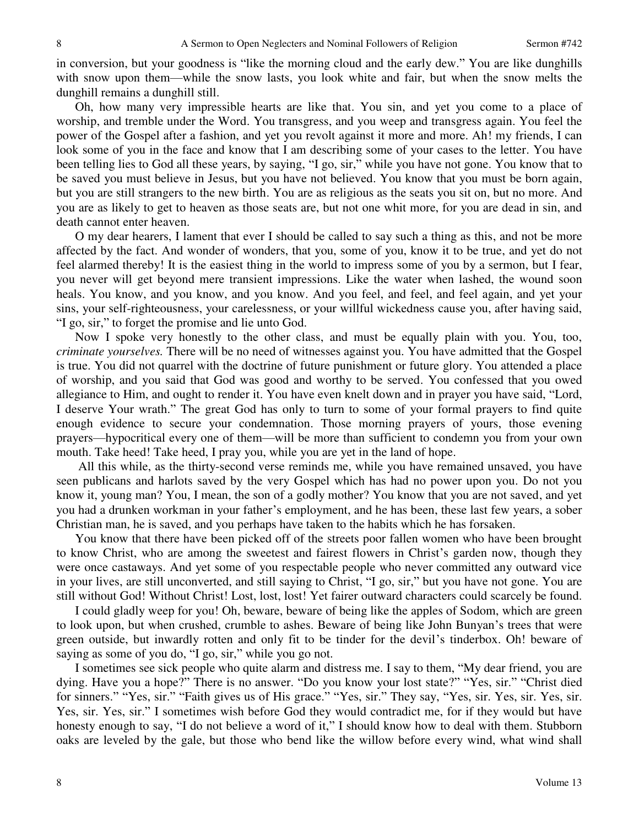in conversion, but your goodness is "like the morning cloud and the early dew." You are like dunghills with snow upon them—while the snow lasts, you look white and fair, but when the snow melts the dunghill remains a dunghill still.

Oh, how many very impressible hearts are like that. You sin, and yet you come to a place of worship, and tremble under the Word. You transgress, and you weep and transgress again. You feel the power of the Gospel after a fashion, and yet you revolt against it more and more. Ah! my friends, I can look some of you in the face and know that I am describing some of your cases to the letter. You have been telling lies to God all these years, by saying, "I go, sir," while you have not gone. You know that to be saved you must believe in Jesus, but you have not believed. You know that you must be born again, but you are still strangers to the new birth. You are as religious as the seats you sit on, but no more. And you are as likely to get to heaven as those seats are, but not one whit more, for you are dead in sin, and death cannot enter heaven.

 O my dear hearers, I lament that ever I should be called to say such a thing as this, and not be more affected by the fact. And wonder of wonders, that you, some of you, know it to be true, and yet do not feel alarmed thereby! It is the easiest thing in the world to impress some of you by a sermon, but I fear, you never will get beyond mere transient impressions. Like the water when lashed, the wound soon heals. You know, and you know, and you know. And you feel, and feel, and feel again, and yet your sins, your self-righteousness, your carelessness, or your willful wickedness cause you, after having said, "I go, sir," to forget the promise and lie unto God.

 Now I spoke very honestly to the other class, and must be equally plain with you. You, too, *criminate yourselves.* There will be no need of witnesses against you. You have admitted that the Gospel is true. You did not quarrel with the doctrine of future punishment or future glory. You attended a place of worship, and you said that God was good and worthy to be served. You confessed that you owed allegiance to Him, and ought to render it. You have even knelt down and in prayer you have said, "Lord, I deserve Your wrath." The great God has only to turn to some of your formal prayers to find quite enough evidence to secure your condemnation. Those morning prayers of yours, those evening prayers—hypocritical every one of them—will be more than sufficient to condemn you from your own mouth. Take heed! Take heed, I pray you, while you are yet in the land of hope.

 All this while, as the thirty-second verse reminds me, while you have remained unsaved, you have seen publicans and harlots saved by the very Gospel which has had no power upon you. Do not you know it, young man? You, I mean, the son of a godly mother? You know that you are not saved, and yet you had a drunken workman in your father's employment, and he has been, these last few years, a sober Christian man, he is saved, and you perhaps have taken to the habits which he has forsaken.

 You know that there have been picked off of the streets poor fallen women who have been brought to know Christ, who are among the sweetest and fairest flowers in Christ's garden now, though they were once castaways. And yet some of you respectable people who never committed any outward vice in your lives, are still unconverted, and still saying to Christ, "I go, sir," but you have not gone. You are still without God! Without Christ! Lost, lost, lost! Yet fairer outward characters could scarcely be found.

 I could gladly weep for you! Oh, beware, beware of being like the apples of Sodom, which are green to look upon, but when crushed, crumble to ashes. Beware of being like John Bunyan's trees that were green outside, but inwardly rotten and only fit to be tinder for the devil's tinderbox. Oh! beware of saying as some of you do, "I go, sir," while you go not.

 I sometimes see sick people who quite alarm and distress me. I say to them, "My dear friend, you are dying. Have you a hope?" There is no answer. "Do you know your lost state?" "Yes, sir." "Christ died for sinners." "Yes, sir." "Faith gives us of His grace." "Yes, sir." They say, "Yes, sir. Yes, sir. Yes, sir. Yes, sir. Yes, sir." I sometimes wish before God they would contradict me, for if they would but have honesty enough to say, "I do not believe a word of it," I should know how to deal with them. Stubborn oaks are leveled by the gale, but those who bend like the willow before every wind, what wind shall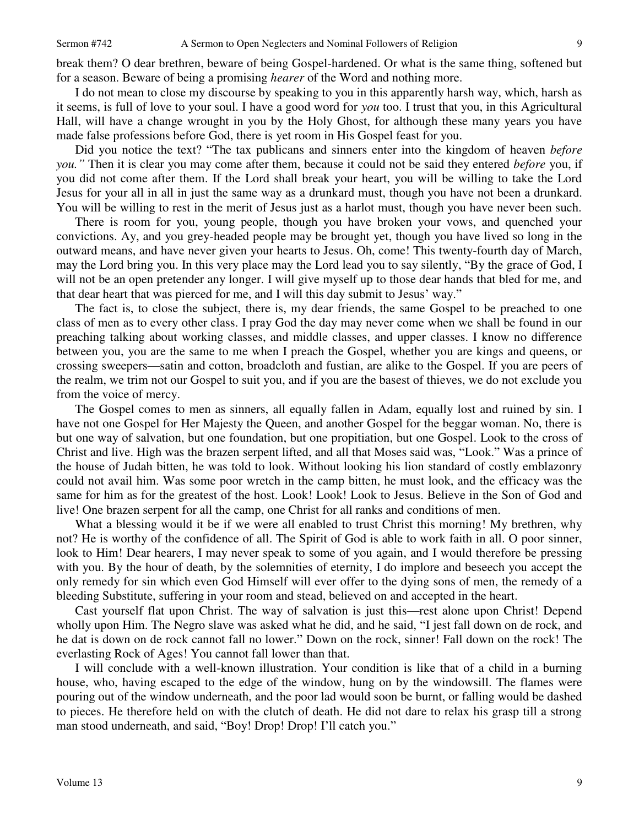break them? O dear brethren, beware of being Gospel-hardened. Or what is the same thing, softened but for a season. Beware of being a promising *hearer* of the Word and nothing more.

 I do not mean to close my discourse by speaking to you in this apparently harsh way, which, harsh as it seems, is full of love to your soul. I have a good word for *you* too. I trust that you, in this Agricultural Hall, will have a change wrought in you by the Holy Ghost, for although these many years you have made false professions before God, there is yet room in His Gospel feast for you.

 Did you notice the text? "The tax publicans and sinners enter into the kingdom of heaven *before you."* Then it is clear you may come after them, because it could not be said they entered *before* you, if you did not come after them. If the Lord shall break your heart, you will be willing to take the Lord Jesus for your all in all in just the same way as a drunkard must, though you have not been a drunkard. You will be willing to rest in the merit of Jesus just as a harlot must, though you have never been such.

 There is room for you, young people, though you have broken your vows, and quenched your convictions. Ay, and you grey-headed people may be brought yet, though you have lived so long in the outward means, and have never given your hearts to Jesus. Oh, come! This twenty-fourth day of March, may the Lord bring you. In this very place may the Lord lead you to say silently, "By the grace of God, I will not be an open pretender any longer. I will give myself up to those dear hands that bled for me, and that dear heart that was pierced for me, and I will this day submit to Jesus' way."

 The fact is, to close the subject, there is, my dear friends, the same Gospel to be preached to one class of men as to every other class. I pray God the day may never come when we shall be found in our preaching talking about working classes, and middle classes, and upper classes. I know no difference between you, you are the same to me when I preach the Gospel, whether you are kings and queens, or crossing sweepers—satin and cotton, broadcloth and fustian, are alike to the Gospel. If you are peers of the realm, we trim not our Gospel to suit you, and if you are the basest of thieves, we do not exclude you from the voice of mercy.

 The Gospel comes to men as sinners, all equally fallen in Adam, equally lost and ruined by sin. I have not one Gospel for Her Majesty the Queen, and another Gospel for the beggar woman. No, there is but one way of salvation, but one foundation, but one propitiation, but one Gospel. Look to the cross of Christ and live. High was the brazen serpent lifted, and all that Moses said was, "Look." Was a prince of the house of Judah bitten, he was told to look. Without looking his lion standard of costly emblazonry could not avail him. Was some poor wretch in the camp bitten, he must look, and the efficacy was the same for him as for the greatest of the host. Look! Look! Look to Jesus. Believe in the Son of God and live! One brazen serpent for all the camp, one Christ for all ranks and conditions of men.

What a blessing would it be if we were all enabled to trust Christ this morning! My brethren, why not? He is worthy of the confidence of all. The Spirit of God is able to work faith in all. O poor sinner, look to Him! Dear hearers, I may never speak to some of you again, and I would therefore be pressing with you. By the hour of death, by the solemnities of eternity, I do implore and beseech you accept the only remedy for sin which even God Himself will ever offer to the dying sons of men, the remedy of a bleeding Substitute, suffering in your room and stead, believed on and accepted in the heart.

 Cast yourself flat upon Christ. The way of salvation is just this—rest alone upon Christ! Depend wholly upon Him. The Negro slave was asked what he did, and he said, "I jest fall down on de rock, and he dat is down on de rock cannot fall no lower." Down on the rock, sinner! Fall down on the rock! The everlasting Rock of Ages! You cannot fall lower than that.

 I will conclude with a well-known illustration. Your condition is like that of a child in a burning house, who, having escaped to the edge of the window, hung on by the windowsill. The flames were pouring out of the window underneath, and the poor lad would soon be burnt, or falling would be dashed to pieces. He therefore held on with the clutch of death. He did not dare to relax his grasp till a strong man stood underneath, and said, "Boy! Drop! Drop! I'll catch you."